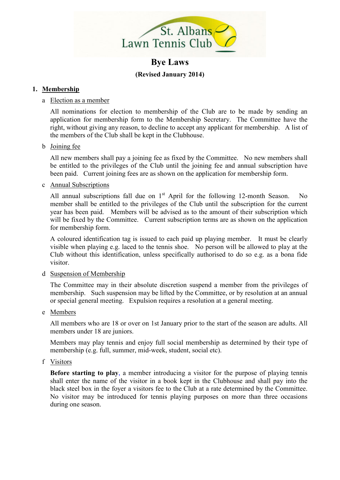

# **Bye Laws (Revised January 2014)**

## **1. Membership**

#### a Election as a member

All nominations for election to membership of the Club are to be made by sending an application for membership form to the Membership Secretary. The Committee have the right, without giving any reason, to decline to accept any applicant for membership. A list of the members of the Club shall be kept in the Clubhouse.

#### b Joining fee

All new members shall pay a joining fee as fixed by the Committee. No new members shall be entitled to the privileges of the Club until the joining fee and annual subscription have been paid. Current joining fees are as shown on the application for membership form.

#### c Annual Subscriptions

All annual subscriptions fall due on  $1<sup>st</sup>$  April for the following 12-month Season. No member shall be entitled to the privileges of the Club until the subscription for the current year has been paid. Members will be advised as to the amount of their subscription which will be fixed by the Committee. Current subscription terms are as shown on the application for membership form.

A coloured identification tag is issued to each paid up playing member. It must be clearly visible when playing e.g. laced to the tennis shoe. No person will be allowed to play at the Club without this identification, unless specifically authorised to do so e.g. as a bona fide visitor.

## d Suspension of Membership

The Committee may in their absolute discretion suspend a member from the privileges of membership. Such suspension may be lifted by the Committee, or by resolution at an annual or special general meeting. Expulsion requires a resolution at a general meeting.

## e Members

All members who are 18 or over on 1st January prior to the start of the season are adults. All members under 18 are juniors.

Members may play tennis and enjoy full social membership as determined by their type of membership (e.g. full, summer, mid-week, student, social etc).

f Visitors

**Before starting to play**, a member introducing a visitor for the purpose of playing tennis shall enter the name of the visitor in a book kept in the Clubhouse and shall pay into the black steel box in the foyer a visitors fee to the Club at a rate determined by the Committee. No visitor may be introduced for tennis playing purposes on more than three occasions during one season.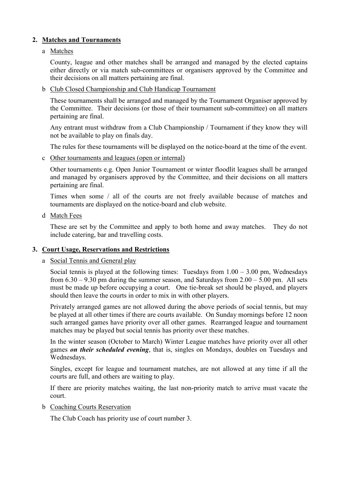# **2. Matches and Tournaments**

## a Matches

County, league and other matches shall be arranged and managed by the elected captains either directly or via match sub-committees or organisers approved by the Committee and their decisions on all matters pertaining are final.

b Club Closed Championship and Club Handicap Tournament

These tournaments shall be arranged and managed by the Tournament Organiser approved by the Committee. Their decisions (or those of their tournament sub-committee) on all matters pertaining are final.

Any entrant must withdraw from a Club Championship / Tournament if they know they will not be available to play on finals day.

The rules for these tournaments will be displayed on the notice-board at the time of the event.

c Other tournaments and leagues (open or internal)

Other tournaments e.g. Open Junior Tournament or winter floodlit leagues shall be arranged and managed by organisers approved by the Committee, and their decisions on all matters pertaining are final.

Times when some / all of the courts are not freely available because of matches and tournaments are displayed on the notice-board and club website.

d Match Fees

These are set by the Committee and apply to both home and away matches. They do not include catering, bar and travelling costs.

# **3. Court Usage, Reservations and Restrictions**

## a Social Tennis and General play

Social tennis is played at the following times: Tuesdays from  $1.00 - 3.00$  pm, Wednesdays from  $6.30 - 9.30$  pm during the summer season, and Saturdays from  $2.00 - 5.00$  pm. All sets must be made up before occupying a court. One tie-break set should be played, and players should then leave the courts in order to mix in with other players.

Privately arranged games are not allowed during the above periods of social tennis, but may be played at all other times if there are courts available. On Sunday mornings before 12 noon such arranged games have priority over all other games. Rearranged league and tournament matches may be played but social tennis has priority over these matches.

In the winter season (October to March) Winter League matches have priority over all other games *on their scheduled evening*, that is, singles on Mondays, doubles on Tuesdays and Wednesdays.

Singles, except for league and tournament matches, are not allowed at any time if all the courts are full, and others are waiting to play.

If there are priority matches waiting, the last non-priority match to arrive must vacate the court.

b Coaching Courts Reservation

The Club Coach has priority use of court number 3.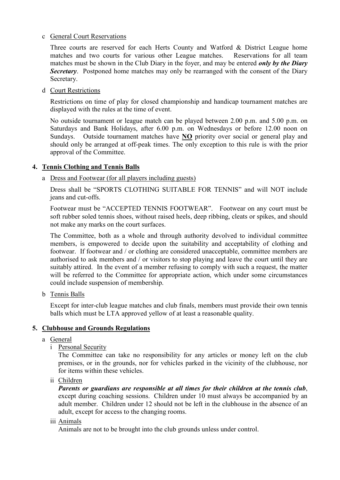#### c General Court Reservations

Three courts are reserved for each Herts County and Watford & District League home matches and two courts for various other League matches. Reservations for all team matches must be shown in the Club Diary in the foyer, and may be entered *only by the Diary*  **Secretary**. Postponed home matches may only be rearranged with the consent of the Diary Secretary.

d Court Restrictions

Restrictions on time of play for closed championship and handicap tournament matches are displayed with the rules at the time of event.

No outside tournament or league match can be played between 2.00 p.m. and 5.00 p.m. on Saturdays and Bank Holidays, after 6.00 p.m. on Wednesdays or before 12.00 noon on Sundays. Outside tournament matches have **NO** priority over social or general play and should only be arranged at off-peak times. The only exception to this rule is with the prior approval of the Committee.

# **4. Tennis Clothing and Tennis Balls**

## a Dress and Footwear (for all players including guests)

Dress shall be "SPORTS CLOTHING SUITABLE FOR TENNIS" and will NOT include jeans and cut-offs.

Footwear must be "ACCEPTED TENNIS FOOTWEAR". Footwear on any court must be soft rubber soled tennis shoes, without raised heels, deep ribbing, cleats or spikes, and should not make any marks on the court surfaces.

The Committee, both as a whole and through authority devolved to individual committee members, is empowered to decide upon the suitability and acceptability of clothing and footwear. If footwear and / or clothing are considered unacceptable, committee members are authorised to ask members and / or visitors to stop playing and leave the court until they are suitably attired. In the event of a member refusing to comply with such a request, the matter will be referred to the Committee for appropriate action, which under some circumstances could include suspension of membership.

b Tennis Balls

Except for inter-club league matches and club finals, members must provide their own tennis balls which must be LTA approved yellow of at least a reasonable quality.

## **5. Clubhouse and Grounds Regulations**

- a General
	- i Personal Security

The Committee can take no responsibility for any articles or money left on the club premises, or in the grounds, nor for vehicles parked in the vicinity of the clubhouse, nor for items within these vehicles.

ii Children

*Parents or guardians are responsible at all times for their children at the tennis club*, except during coaching sessions. Children under 10 must always be accompanied by an adult member. Children under 12 should not be left in the clubhouse in the absence of an adult, except for access to the changing rooms.

#### iii Animals

Animals are not to be brought into the club grounds unless under control.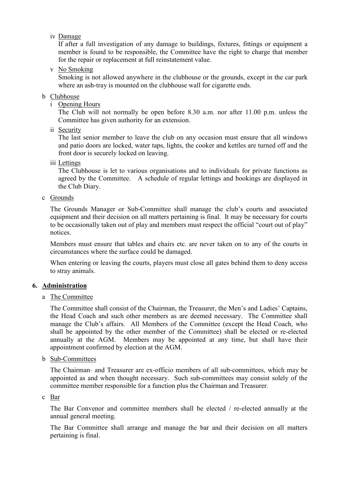iv Damage

If after a full investigation of any damage to buildings, fixtures, fittings or equipment a member is found to be responsible, the Committee have the right to charge that member for the repair or replacement at full reinstatement value.

v No Smoking

Smoking is not allowed anywhere in the clubhouse or the grounds, except in the car park where an ash-tray is mounted on the clubhouse wall for cigarette ends.

#### b Clubhouse

i Opening Hours

The Club will not normally be open before 8.30 a.m. nor after 11.00 p.m. unless the Committee has given authority for an extension.

ii Security

The last senior member to leave the club on any occasion must ensure that all windows and patio doors are locked, water taps, lights, the cooker and kettles are turned off and the front door is securely locked on leaving.

iii Lettings

The Clubhouse is let to various organisations and to individuals for private functions as agreed by the Committee. A schedule of regular lettings and bookings are displayed in the Club Diary.

c Grounds

The Grounds Manager or Sub-Committee shall manage the club's courts and associated equipment and their decision on all matters pertaining is final. It may be necessary for courts to be occasionally taken out of play and members must respect the official "court out of play" notices.

Members must ensure that tables and chairs etc. are never taken on to any of the courts in circumstances where the surface could be damaged.

When entering or leaving the courts, players must close all gates behind them to deny access to stray animals.

## **6. Administration**

a The Committee

The Committee shall consist of the Chairman, the Treasurer, the Men's and Ladies' Captains, the Head Coach and such other members as are deemed necessary. The Committee shall manage the Club's affairs. All Members of the Committee (except the Head Coach, who shall be appointed by the other member of the Committee) shall be elected or re-elected annually at the AGM. Members may be appointed at any time, but shall have their appointment confirmed by election at the AGM.

b Sub-Committees

The Chairman- and Treasurer are ex-officio members of all sub-committees, which may be appointed as and when thought necessary. Such sub-committees may consist solely of the committee member responsible for a function plus the Chairman and Treasurer.

#### c Bar

The Bar Convenor and committee members shall be elected / re-elected annually at the annual general meeting.

The Bar Committee shall arrange and manage the bar and their decision on all matters pertaining is final.